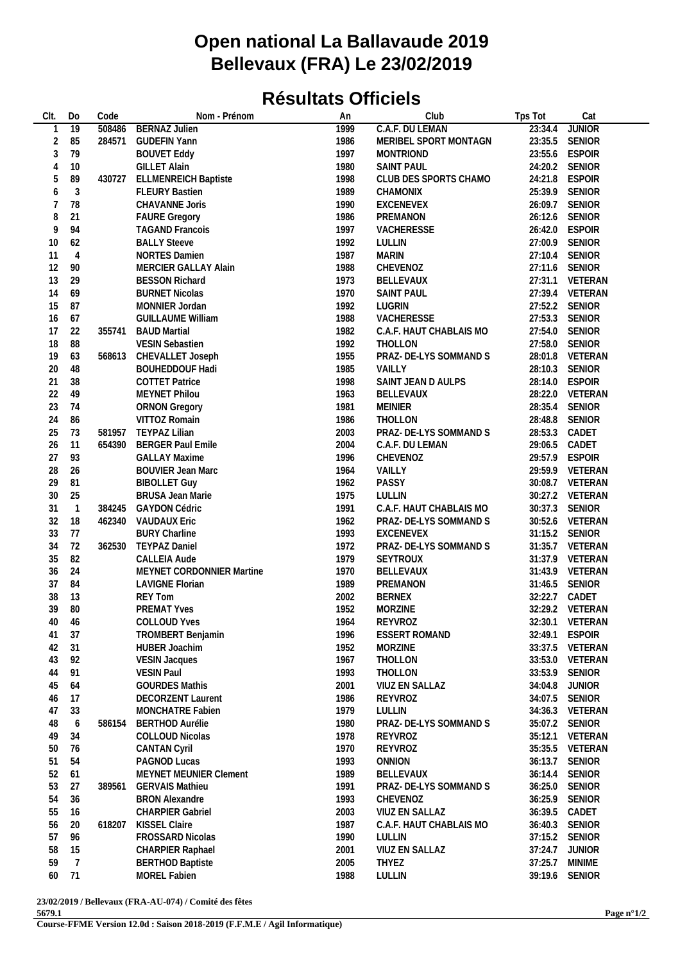## **Open national La Ballavaude 2019 Bellevaux (FRA) Le 23/02/2019**

## **Résultats Officiels**

| CIt.           | Do              | Code   | Nom - Prénom                | An   | Club                    | Tps Tot       | Cat             |  |
|----------------|-----------------|--------|-----------------------------|------|-------------------------|---------------|-----------------|--|
|                | $\overline{19}$ | 508486 | <b>BERNAZ Julien</b>        | 1999 | C.A.F. DU LEMAN         | 23:34.4       | <b>JUNIOR</b>   |  |
| $\overline{2}$ | 85              | 284571 | <b>GUDEFIN Yann</b>         | 1986 | MERIBEL SPORT MONTAGN   |               | 23:35.5 SENIOR  |  |
| 3              | 79              |        | <b>BOUVET Eddy</b>          | 1997 | <b>MONTRIOND</b>        |               | 23:55.6 ESPOIR  |  |
| 4              | 10              |        | <b>GILLET Alain</b>         | 1980 | <b>SAINT PAUL</b>       |               | 24:20.2 SENIOR  |  |
|                |                 |        |                             |      |                         |               |                 |  |
| 5              | 89              | 430727 | <b>ELLMENREICH Baptiste</b> | 1998 | CLUB DES SPORTS CHAMO   |               | 24:21.8 ESPOIR  |  |
| 6              | $\mathfrak{Z}$  |        | <b>FLEURY Bastien</b>       | 1989 | CHAMONIX                |               | 25:39.9 SENIOR  |  |
| 7              | 78              |        | CHAVANNE Joris              | 1990 | EXCENEVEX               |               | 26:09.7 SENIOR  |  |
| 8              | 21              |        | <b>FAURE Gregory</b>        | 1986 | PREMANON                |               | 26:12.6 SENIOR  |  |
| 9              | 94              |        | <b>TAGAND Francois</b>      | 1997 | VACHERESSE              |               | 26:42.0 ESPOIR  |  |
| 10             | 62              |        | <b>BALLY Steeve</b>         | 1992 | LULLIN                  |               | 27:00.9 SENIOR  |  |
| 11             | $\overline{4}$  |        | <b>NORTES Damien</b>        | 1987 | <b>MARIN</b>            |               | 27:10.4 SENIOR  |  |
| 12             | 90              |        | MERCIER GALLAY Alain        | 1988 | CHEVENOZ                |               | 27:11.6 SENIOR  |  |
| 13             | 29              |        | <b>BESSON Richard</b>       | 1973 | BELLEVAUX               |               | 27:31.1 VETERAN |  |
| 14             | 69              |        | <b>BURNET Nicolas</b>       | 1970 | <b>SAINT PAUL</b>       |               | 27:39.4 VETERAN |  |
|                |                 |        |                             |      |                         |               |                 |  |
| 15             | 87              |        | MONNIER Jordan              | 1992 | LUGRIN                  |               | 27:52.2 SENIOR  |  |
| 16             | 67              |        | <b>GUILLAUME William</b>    | 1988 | VACHERESSE              |               | 27:53.3 SENIOR  |  |
| 17             | 22              | 355741 | <b>BAUD Martial</b>         | 1982 | C.A.F. HAUT CHABLAIS MO |               | 27:54.0 SENIOR  |  |
| 18             | 88              |        | VESIN Sebastien             | 1992 | THOLLON                 |               | 27:58.0 SENIOR  |  |
| 19             | 63              | 568613 | CHEVALLET Joseph            | 1955 | PRAZ- DE-LYS SOMMAND S  |               | 28:01.8 VETERAN |  |
| 20             | 48              |        | <b>BOUHEDDOUF Hadi</b>      | 1985 | VAILLY                  |               | 28:10.3 SENIOR  |  |
| 21             | 38              |        | <b>COTTET Patrice</b>       | 1998 | SAINT JEAN D AULPS      |               | 28:14.0 ESPOIR  |  |
| 22             | 49              |        | MEYNET Philou               | 1963 | BELLEVAUX               |               | 28:22.0 VETERAN |  |
| 23             | 74              |        | <b>ORNON Gregory</b>        | 1981 | MEINIER                 |               | 28:35.4 SENIOR  |  |
|                |                 |        |                             |      |                         |               |                 |  |
| 24             | 86              |        | VITTOZ Romain               | 1986 | THOLLON                 |               | 28:48.8 SENIOR  |  |
| 25             | 73              | 581957 | <b>TEYPAZ Lilian</b>        | 2003 | PRAZ- DE-LYS SOMMAND S  | 28:53.3 CADET |                 |  |
| 26             | 11              | 654390 | <b>BERGER Paul Emile</b>    | 2004 | C.A.F. DU LEMAN         | 29:06.5 CADET |                 |  |
| 27             | 93              |        | <b>GALLAY Maxime</b>        | 1996 | CHEVENOZ                |               | 29:57.9 ESPOIR  |  |
| 28             | 26              |        | <b>BOUVIER Jean Marc</b>    | 1964 | VAILLY                  |               | 29:59.9 VETERAN |  |
| 29             | 81              |        | <b>BIBOLLET Guy</b>         | 1962 | PASSY                   |               | 30:08.7 VETERAN |  |
| 30             | 25              |        | BRUSA Jean Marie            | 1975 | LULLIN                  |               | 30:27.2 VETERAN |  |
| 31             | $\overline{1}$  | 384245 | <b>GAYDON Cédric</b>        | 1991 | C.A.F. HAUT CHABLAIS MO |               | 30:37.3 SENIOR  |  |
| 32             | 18              | 462340 | <b>VAUDAUX Eric</b>         | 1962 | PRAZ- DE-LYS SOMMAND S  |               | 30:52.6 VETERAN |  |
| 33             | 77              |        | <b>BURY Charline</b>        | 1993 | EXCENEVEX               |               | 31:15.2 SENIOR  |  |
| 34             | 72              |        | 362530 TEYPAZ Daniel        | 1972 | PRAZ- DE-LYS SOMMAND S  |               | 31:35.7 VETERAN |  |
|                |                 |        |                             |      |                         |               |                 |  |
| 35             | 82              |        | CALLEIA Aude                | 1979 | SEYTROUX                |               | 31:37.9 VETERAN |  |
| 36             | 24              |        | MEYNET CORDONNIER Martine   | 1970 | BELLEVAUX               |               | 31:43.9 VETERAN |  |
| 37             | 84              |        | <b>LAVIGNE Florian</b>      | 1989 | PREMANON                |               | 31:46.5 SENIOR  |  |
| 38             | 13              |        | <b>REY Tom</b>              | 2002 | <b>BERNEX</b>           | 32:22.7 CADET |                 |  |
| 39             | 80              |        | <b>PREMAT Yves</b>          | 1952 | <b>MORZINE</b>          |               | 32:29.2 VETERAN |  |
| 40             | 46              |        | <b>COLLOUD Yves</b>         | 1964 | REYVROZ                 |               | 32:30.1 VETERAN |  |
| 41             | 37              |        | TROMBERT Benjamin           | 1996 | <b>ESSERT ROMAND</b>    |               | 32:49.1 ESPOIR  |  |
| 42             | 31              |        | <b>HUBER Joachim</b>        | 1952 | MORZINE                 |               | 33:37.5 VETERAN |  |
| 43             | 92              |        | <b>VESIN Jacques</b>        | 1967 | THOLLON                 |               | 33:53.0 VETERAN |  |
|                |                 |        |                             |      |                         |               |                 |  |
| 44             | 91              |        | <b>VESIN Paul</b>           | 1993 | THOLLON                 |               | 33:53.9 SENIOR  |  |
| 45             | 64              |        | <b>GOURDES Mathis</b>       | 2001 | VIUZ EN SALLAZ          | 34:04.8       | <b>JUNIOR</b>   |  |
| 46             | 17              |        | <b>DECORZENT Laurent</b>    | 1986 | REYVROZ                 |               | 34:07.5 SENIOR  |  |
| 47             | 33              |        | MONCHATRE Fabien            | 1979 | LULLIN                  |               | 34:36.3 VETERAN |  |
| 48             | 6               | 586154 | <b>BERTHOD Aurélie</b>      | 1980 | PRAZ- DE-LYS SOMMAND S  |               | 35:07.2 SENIOR  |  |
| 49             | 34              |        | COLLOUD Nicolas             | 1978 | REYVROZ                 |               | 35:12.1 VETERAN |  |
| 50             | 76              |        | <b>CANTAN Cyril</b>         | 1970 | REYVROZ                 |               | 35:35.5 VETERAN |  |
| 51             | 54              |        | PAGNOD Lucas                | 1993 | <b>ONNION</b>           | 36:13.7       | SENIOR          |  |
| 52             | 61              |        | MEYNET MEUNIER Clement      | 1989 | BELLEVAUX               | 36:14.4       | <b>SENIOR</b>   |  |
|                |                 |        |                             |      |                         |               |                 |  |
| 53             | 27              | 389561 | <b>GERVAIS Mathieu</b>      | 1991 | PRAZ- DE-LYS SOMMAND S  |               | 36:25.0 SENIOR  |  |
| 54             | 36              |        | <b>BRON Alexandre</b>       | 1993 | CHEVENOZ                | 36:25.9       | <b>SENIOR</b>   |  |
| 55             | 16              |        | <b>CHARPIER Gabriel</b>     | 2003 | VIUZ EN SALLAZ          | 36:39.5 CADET |                 |  |
| 56             | 20              | 618207 | KISSEL Claire               | 1987 | C.A.F. HAUT CHABLAIS MO |               | 36:40.3 SENIOR  |  |
| 57             | 96              |        | FROSSARD Nicolas            | 1990 | LULLIN                  |               | 37:15.2 SENIOR  |  |
| 58             | 15              |        | CHARPIER Raphael            | 2001 | VIUZ EN SALLAZ          | 37:24.7       | <b>JUNIOR</b>   |  |
| 59             | $7\overline{ }$ |        | <b>BERTHOD Baptiste</b>     | 2005 | THYEZ                   | 37:25.7       | <b>MINIME</b>   |  |
| 60             | 71              |        | MOREL Fabien                | 1988 | LULLIN                  |               | 39:19.6 SENIOR  |  |
|                |                 |        |                             |      |                         |               |                 |  |

**23/02/2019 / Bellevaux (FRA-AU-074) / Comité des fêtes**

**5679.1**